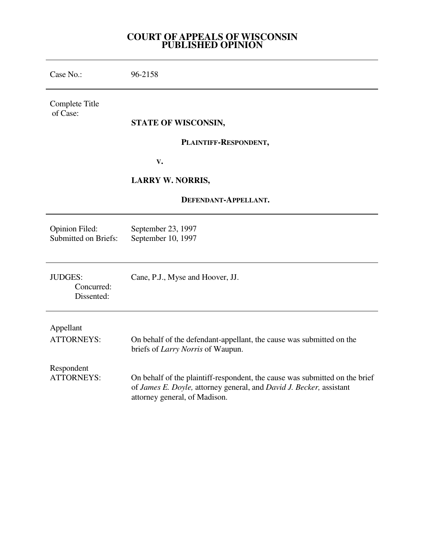## **COURT OF APPEALS OF WISCONSIN PUBLISHED OPINION**

| Case No.:                                     | 96-2158                                                                                                                                                                             |
|-----------------------------------------------|-------------------------------------------------------------------------------------------------------------------------------------------------------------------------------------|
| Complete Title<br>of Case:                    |                                                                                                                                                                                     |
|                                               | STATE OF WISCONSIN,                                                                                                                                                                 |
|                                               | PLAINTIFF-RESPONDENT,                                                                                                                                                               |
|                                               | V.                                                                                                                                                                                  |
|                                               | <b>LARRY W. NORRIS,</b>                                                                                                                                                             |
| DEFENDANT-APPELLANT.                          |                                                                                                                                                                                     |
| Opinion Filed:<br><b>Submitted on Briefs:</b> | September 23, 1997<br>September 10, 1997                                                                                                                                            |
| <b>JUDGES:</b><br>Concurred:<br>Dissented:    | Cane, P.J., Myse and Hoover, JJ.                                                                                                                                                    |
| Appellant<br><b>ATTORNEYS:</b>                | On behalf of the defendant-appellant, the cause was submitted on the<br>briefs of Larry Norris of Waupun.                                                                           |
| Respondent<br><b>ATTORNEYS:</b>               | On behalf of the plaintiff-respondent, the cause was submitted on the brief<br>of James E. Doyle, attorney general, and David J. Becker, assistant<br>attorney general, of Madison. |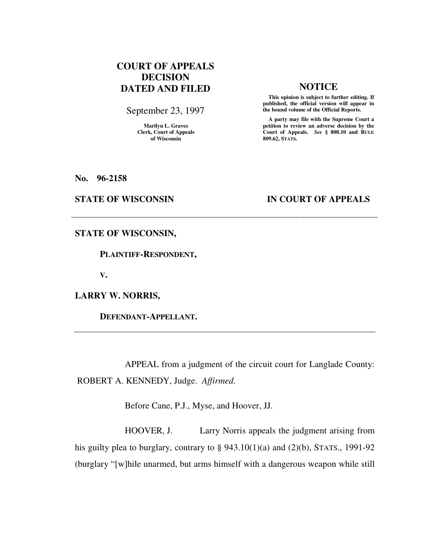# **COURT OF APPEALS DECISION DATED AND FILED NOTICE**

September 23, 1997

**Marilyn L. Graves Clerk, Court of Appeals of Wisconsin** 

 **This opinion is subject to further editing. If published, the official version will appear in the bound volume of the Official Reports.**

 **A party may file with the Supreme Court a petition to review an adverse decision by the Court of Appeals.** *See* **§ 808.10 and RULE 809.62, STATS.** 

**No. 96-2158** 

### **STATE OF WISCONSIN IN COURT OF APPEALS**

### **STATE OF WISCONSIN,**

 **PLAINTIFF-RESPONDENT,** 

**V.** 

**LARRY W. NORRIS,** 

 **DEFENDANT-APPELLANT.** 

 APPEAL from a judgment of the circuit court for Langlade County: ROBERT A. KENNEDY, Judge. *Affirmed.*

Before Cane, P.J., Myse, and Hoover, JJ.

 HOOVER, J. Larry Norris appeals the judgment arising from his guilty plea to burglary, contrary to  $\S$  943.10(1)(a) and (2)(b), STATS., 1991-92 (burglary "[w]hile unarmed, but arms himself with a dangerous weapon while still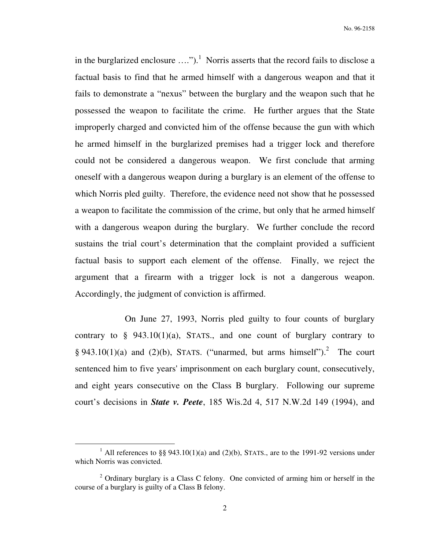in the burglarized enclosure  $\dots$ ").<sup>1</sup> Norris asserts that the record fails to disclose a factual basis to find that he armed himself with a dangerous weapon and that it fails to demonstrate a "nexus" between the burglary and the weapon such that he possessed the weapon to facilitate the crime. He further argues that the State improperly charged and convicted him of the offense because the gun with which he armed himself in the burglarized premises had a trigger lock and therefore could not be considered a dangerous weapon. We first conclude that arming oneself with a dangerous weapon during a burglary is an element of the offense to which Norris pled guilty. Therefore, the evidence need not show that he possessed a weapon to facilitate the commission of the crime, but only that he armed himself with a dangerous weapon during the burglary. We further conclude the record sustains the trial court's determination that the complaint provided a sufficient factual basis to support each element of the offense. Finally, we reject the argument that a firearm with a trigger lock is not a dangerous weapon. Accordingly, the judgment of conviction is affirmed.

 On June 27, 1993, Norris pled guilty to four counts of burglary contrary to  $\S$  943.10(1)(a), STATS., and one count of burglary contrary to § 943.10(1)(a) and (2)(b), STATS. ("unarmed, but arms himself").<sup>2</sup> The court sentenced him to five years' imprisonment on each burglary count, consecutively, and eight years consecutive on the Class B burglary. Following our supreme court's decisions in *State v. Peete*, 185 Wis.2d 4, 517 N.W.2d 149 (1994), and

 $\overline{a}$ 

<sup>&</sup>lt;sup>1</sup> All references to §§ 943.10(1)(a) and (2)(b), STATS., are to the 1991-92 versions under which Norris was convicted.

 $2$  Ordinary burglary is a Class C felony. One convicted of arming him or herself in the course of a burglary is guilty of a Class B felony.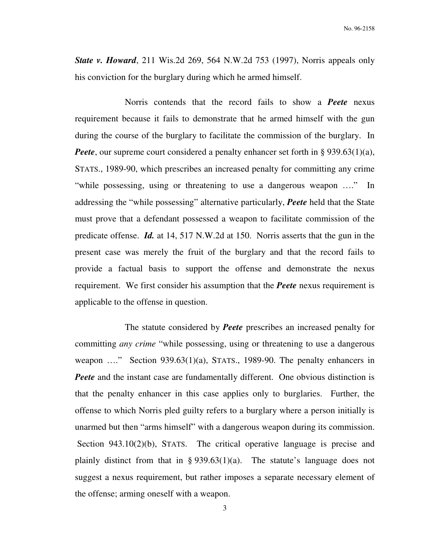*State v. Howard*, 211 Wis.2d 269, 564 N.W.2d 753 (1997), Norris appeals only his conviction for the burglary during which he armed himself.

 Norris contends that the record fails to show a *Peete* nexus requirement because it fails to demonstrate that he armed himself with the gun during the course of the burglary to facilitate the commission of the burglary. In *Peete*, our supreme court considered a penalty enhancer set forth in § 939.63(1)(a), STATS., 1989-90, which prescribes an increased penalty for committing any crime "while possessing, using or threatening to use a dangerous weapon …." In addressing the "while possessing" alternative particularly, *Peete* held that the State must prove that a defendant possessed a weapon to facilitate commission of the predicate offense. *Id.* at 14, 517 N.W.2d at 150. Norris asserts that the gun in the present case was merely the fruit of the burglary and that the record fails to provide a factual basis to support the offense and demonstrate the nexus requirement. We first consider his assumption that the *Peete* nexus requirement is applicable to the offense in question.

 The statute considered by *Peete* prescribes an increased penalty for committing *any crime* "while possessing, using or threatening to use a dangerous weapon ...." Section 939.63(1)(a), STATS., 1989-90. The penalty enhancers in *Peete* and the instant case are fundamentally different. One obvious distinction is that the penalty enhancer in this case applies only to burglaries. Further, the offense to which Norris pled guilty refers to a burglary where a person initially is unarmed but then "arms himself" with a dangerous weapon during its commission. Section 943.10(2)(b), STATS. The critical operative language is precise and plainly distinct from that in § 939.63(1)(a). The statute's language does not suggest a nexus requirement, but rather imposes a separate necessary element of the offense; arming oneself with a weapon.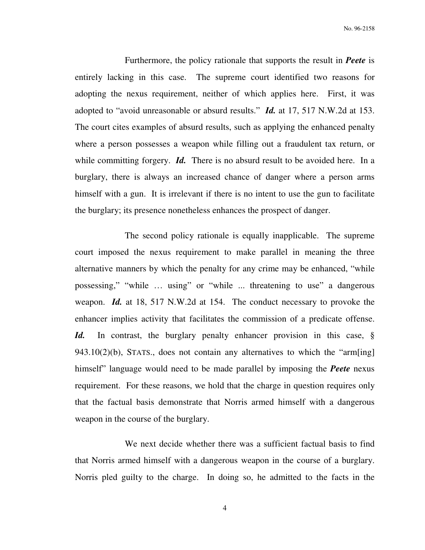No. 96-2158

 Furthermore, the policy rationale that supports the result in *Peete* is entirely lacking in this case. The supreme court identified two reasons for adopting the nexus requirement, neither of which applies here. First, it was adopted to "avoid unreasonable or absurd results." *Id.* at 17, 517 N.W.2d at 153. The court cites examples of absurd results, such as applying the enhanced penalty where a person possesses a weapon while filling out a fraudulent tax return, or while committing forgery. *Id.* There is no absurd result to be avoided here. In a burglary, there is always an increased chance of danger where a person arms himself with a gun. It is irrelevant if there is no intent to use the gun to facilitate the burglary; its presence nonetheless enhances the prospect of danger.

 The second policy rationale is equally inapplicable. The supreme court imposed the nexus requirement to make parallel in meaning the three alternative manners by which the penalty for any crime may be enhanced, "while possessing," "while … using" or "while ... threatening to use" a dangerous weapon. *Id.* at 18, 517 N.W.2d at 154. The conduct necessary to provoke the enhancer implies activity that facilitates the commission of a predicate offense. *Id.* In contrast, the burglary penalty enhancer provision in this case, § 943.10(2)(b), STATS., does not contain any alternatives to which the "arm[ing] himself" language would need to be made parallel by imposing the *Peete* nexus requirement. For these reasons, we hold that the charge in question requires only that the factual basis demonstrate that Norris armed himself with a dangerous weapon in the course of the burglary.

 We next decide whether there was a sufficient factual basis to find that Norris armed himself with a dangerous weapon in the course of a burglary. Norris pled guilty to the charge. In doing so, he admitted to the facts in the

4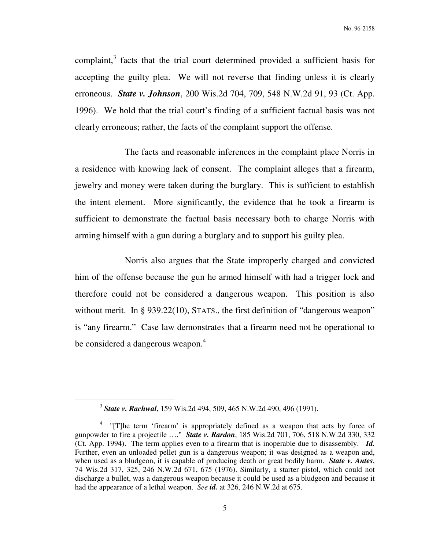complaint, $3$  facts that the trial court determined provided a sufficient basis for accepting the guilty plea. We will not reverse that finding unless it is clearly erroneous. *State v. Johnson*, 200 Wis.2d 704, 709, 548 N.W.2d 91, 93 (Ct. App. 1996). We hold that the trial court's finding of a sufficient factual basis was not clearly erroneous; rather, the facts of the complaint support the offense.

 The facts and reasonable inferences in the complaint place Norris in a residence with knowing lack of consent. The complaint alleges that a firearm, jewelry and money were taken during the burglary. This is sufficient to establish the intent element. More significantly, the evidence that he took a firearm is sufficient to demonstrate the factual basis necessary both to charge Norris with arming himself with a gun during a burglary and to support his guilty plea.

 Norris also argues that the State improperly charged and convicted him of the offense because the gun he armed himself with had a trigger lock and therefore could not be considered a dangerous weapon. This position is also without merit. In § 939.22(10), STATS., the first definition of "dangerous weapon" is "any firearm." Case law demonstrates that a firearm need not be operational to be considered a dangerous weapon.<sup>4</sup>

 $\overline{a}$ 

<sup>3</sup> *State v. Rachwal*, 159 Wis.2d 494, 509, 465 N.W.2d 490, 496 (1991).

<sup>&</sup>lt;sup>4</sup> "[T]he term 'firearm' is appropriately defined as a weapon that acts by force of gunpowder to fire a projectile …." *State v. Rardon*, 185 Wis.2d 701, 706, 518 N.W.2d 330, 332 (Ct. App. 1994). The term applies even to a firearm that is inoperable due to disassembly. *Id.* Further, even an unloaded pellet gun is a dangerous weapon; it was designed as a weapon and, when used as a bludgeon, it is capable of producing death or great bodily harm. *State v. Antes*, 74 Wis.2d 317, 325, 246 N.W.2d 671, 675 (1976). Similarly, a starter pistol, which could not discharge a bullet, was a dangerous weapon because it could be used as a bludgeon and because it had the appearance of a lethal weapon. *See id.* at 326, 246 N.W.2d at 675.